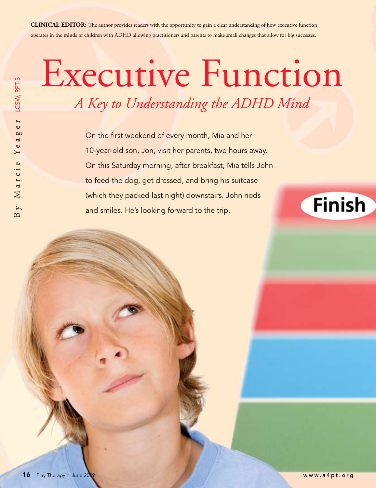**CLINICAL EDITOR:** The author provides readers with the opportunity to gain a clear understanding of how executive function operates in the minds of children with ADHD allowing practitioners and parents to make small changes that allow for big successes.

## Executive Function *A Key to Understanding the ADHD Mind*

On the first weekend of every month, Mia and her 10-year-old son, Jon, visit her parents, two hours away. On this Saturday morning, after breakfast, Mia tells John to feed the dog, get dressed, and bring his suitcase (which they packed last night) downstairs. John nods and smiles. He's looking forward to the trip.

## **Finish**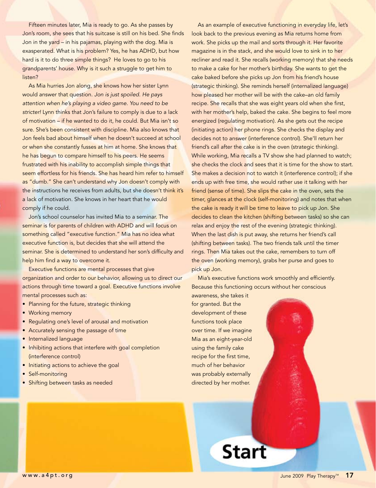Fifteen minutes later, Mia is ready to go. As she passes by Jon's room, she sees that his suitcase is still on his bed. She finds Jon in the yard – in his pajamas, playing with the dog. Mia is exasperated. What is his problem? Yes, he has ADHD, but how hard is it to do three simple things? He loves to go to his grandparents' house. Why is it such a struggle to get him to listen?

As Mia hurries Jon along, she knows how her sister Lynn would answer that question. *Jon is just spoiled. He pays attention when he's playing a video game. You need to be stricter!* Lynn thinks that Jon's failure to comply is due to a lack of motivation – if he wanted to do it, he could. But Mia isn't so sure. She's been consistent with discipline. Mia also knows that Jon feels bad about himself when he doesn't succeed at school or when she constantly fusses at him at home. She knows that he has begun to compare himself to his peers. He seems frustrated with his inability to accomplish simple things that seem effortless for his friends. She has heard him refer to himself as "dumb." She can't understand why Jon doesn't comply with the instructions he receives from adults, but she doesn't think it's a lack of motivation. She knows in her heart that he would comply if he could.

Jon's school counselor has invited Mia to a seminar. The seminar is for parents of children with ADHD and will focus on something called "executive function." Mia has no idea what executive function is, but decides that she will attend the seminar. She is determined to understand her son's difficulty and help him find a way to overcome it.

Executive functions are mental processes that give organization and order to our behavior, allowing us to direct our actions through time toward a goal. Executive functions involve mental processes such as:

- Planning for the future, strategic thinking
- Working memory
- Regulating one's level of arousal and motivation
- Accurately sensing the passage of time
- **•** Internalized language
- Inhibiting actions that interfere with goal completion (interference control)
- Initiating actions to achieve the goal
- Self-monitoring
- Shifting between tasks as needed

As an example of executive functioning in everyday life, let's look back to the previous evening as Mia returns home from work. She picks up the mail and sorts through it. Her favorite magazine is in the stack, and she would love to sink in to her recliner and read it. She recalls (working memory) that she needs to make a cake for her mother's birthday. She wants to get the cake baked before she picks up Jon from his friend's house (strategic thinking). She reminds herself (internalized language) how pleased her mother will be with the cake–an old family recipe. She recalls that she was eight years old when she first, with her mother's help, baked the cake. She begins to feel more energized (regulating motivation). As she gets out the recipe (initiating action) her phone rings. She checks the display and decides not to answer (interference control). She'll return her friend's call after the cake is in the oven (strategic thinking). While working, Mia recalls a TV show she had planned to watch; she checks the clock and sees that it is time for the show to start. She makes a decision not to watch it (interference control); if she ends up with free time, she would rather use it talking with her friend (sense of time). She slips the cake in the oven, sets the timer, glances at the clock (self-monitoring) and notes that when the cake is ready it will be time to leave to pick up Jon. She decides to clean the kitchen (shifting between tasks) so she can relax and enjoy the rest of the evening (strategic thinking). When the last dish is put away, she returns her friend's call (shifting between tasks). The two friends talk until the timer rings. Then Mia takes out the cake, remembers to turn off the oven (working memory), grabs her purse and goes to pick up Jon.

Mia's executive functions work smoothly and efficiently. Because this functioning occurs without her conscious

awareness, she takes it for granted. But the development of these functions took place over time. If we imagine Mia as an eight-year-old using the family cake recipe for the first time, much of her behavior was probably externally directed by her mother.

**Start**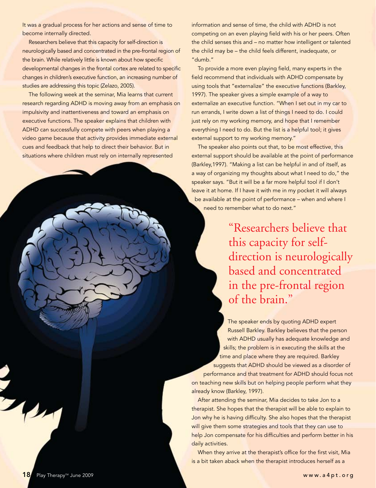It was a gradual process for her actions and sense of time to become internally directed.

Researchers believe that this capacity for self-direction is neurologically based and concentrated in the pre-frontal region of the brain. While relatively little is known about how specific developmental changes in the frontal cortex are related to specific changes in children's executive function, an increasing number of studies are addressing this topic (Zelazo, 2005).

The following week at the seminar, Mia learns that current research regarding ADHD is moving away from an emphasis on impulsivity and inattentiveness and toward an emphasis on executive functions. The speaker explains that children with ADHD can successfully compete with peers when playing a video game because that activity provides immediate external cues and feedback that help to direct their behavior. But in situations where children must rely on internally represented

information and sense of time, the child with ADHD is not competing on an even playing field with his or her peers. Often the child senses this and – no matter how intelligent or talented the child may be – the child feels different, inadequate, or "dumb."

To provide a more even playing field, many experts in the field recommend that individuals with ADHD compensate by using tools that "externalize" the executive functions (Barkley, 1997). The speaker gives a simple example of a way to externalize an executive function. "When I set out in my car to run errands, I write down a list of things I need to do. I could just rely on my working memory, and hope that I remember everything I need to do. But the list is a helpful tool; it gives external support to my working memory."

The speaker also points out that, to be most effective, this external support should be available at the point of performance (Barkley,1997). "Making a list can be helpful in and of itself, as a way of organizing my thoughts about what I need to do," the speaker says. "But it will be a far more helpful tool if I don't leave it at home. If I have it with me in my pocket it will always be available at the point of performance – when and where I need to remember what to do next."

> "Researchers believe that this capacity for selfdirection is neurologically based and concentrated in the pre-frontal region of the brain."

The speaker ends by quoting ADHD expert Russell Barkley. Barkley believes that the person with ADHD usually has adequate knowledge and skills; the problem is in executing the skills at the time and place where they are required. Barkley suggests that ADHD should be viewed as a disorder of performance and that treatment for ADHD should focus not on teaching new skills but on helping people perform what they already know (Barkley, 1997).

After attending the seminar, Mia decides to take Jon to a therapist. She hopes that the therapist will be able to explain to Jon why he is having difficulty. She also hopes that the therapist will give them some strategies and tools that they can use to help Jon compensate for his difficulties and perform better in his daily activities.

When they arrive at the therapist's office for the first visit, Mia is a bit taken aback when the therapist introduces herself as a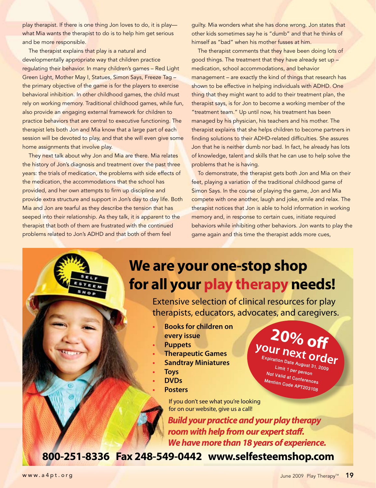play therapist. If there is one thing Jon loves to do, it is play what Mia wants the therapist to do is to help him get serious and be more responsible.

The therapist explains that play is a natural and developmentally appropriate way that children practice regulating their behavior. In many children's games – Red Light Green Light, Mother May I, Statues, Simon Says, Freeze Tag – the primary objective of the game is for the players to exercise behavioral inhibition. In other childhood games, the child must rely on working memory. Traditional childhood games, while fun, also provide an engaging external framework for children to practice behaviors that are central to executive functioning. The therapist lets both Jon and Mia know that a large part of each session will be devoted to play, and that she will even give some home assignments that involve play.

They next talk about why Jon and Mia are there. Mia relates the history of Jon's diagnosis and treatment over the past three years: the trials of medication, the problems with side effects of the medication, the accommodations that the school has provided, and her own attempts to firm up discipline and provide extra structure and support in Jon's day to day life. Both Mia and Jon are tearful as they describe the tension that has seeped into their relationship. As they talk, it is apparent to the therapist that both of them are frustrated with the continued problems related to Jon's ADHD and that both of them feel

guilty. Mia wonders what she has done wrong. Jon states that other kids sometimes say he is "dumb" and that he thinks of himself as "bad" when his mother fusses at him.

The therapist comments that they have been doing lots of good things. The treatment that they have already set up – medication, school accommodations, and behavior management – are exactly the kind of things that research has shown to be effective in helping individuals with ADHD. One thing that they might want to add to their treatment plan, the therapist says, is for Jon to become a working member of the "treatment team." Up until now, his treatment has been managed by his physician, his teachers and his mother. The therapist explains that she helps children to become partners in finding solutions to their ADHD-related difficulties. She assures Jon that he is neither dumb nor bad. In fact, he already has lots of knowledge, talent and skills that he can use to help solve the problems that he is having.

To demonstrate, the therapist gets both Jon and Mia on their feet, playing a variation of the traditional childhood game of Simon Says. In the course of playing the game, Jon and Mia compete with one another, laugh and joke, smile and relax. The therapist notices that Jon is able to hold information in working memory and, in response to certain cues, initiate required behaviors while inhibiting other behaviors. Jon wants to play the game again and this time the therapist adds more cues,

Extensive selection of clinical resources for play therapists, educators, advocates, and caregivers.

for all your play therapy needs!

- **• Books for children on every issue**
- **• Puppets**
- **Therapeutic Games**
- **Sandtray Miniatures**
- **• Toys**
- **• DVDs**
- **Posters**

**20% off your next ord order**

Expiration Date August 31, 2009<br>Limit 1 per person Not Valid at Conferences Mention Code APT203108

If you don't see what you're looking for on our website, give us a call!

We are your one-stop shop

*Build your practice and your play therapy room with help from our expert staff. We have more than 18 years of experience.*

800-251-8336 Fax 248-549-0442 www.selfesteemshop.com